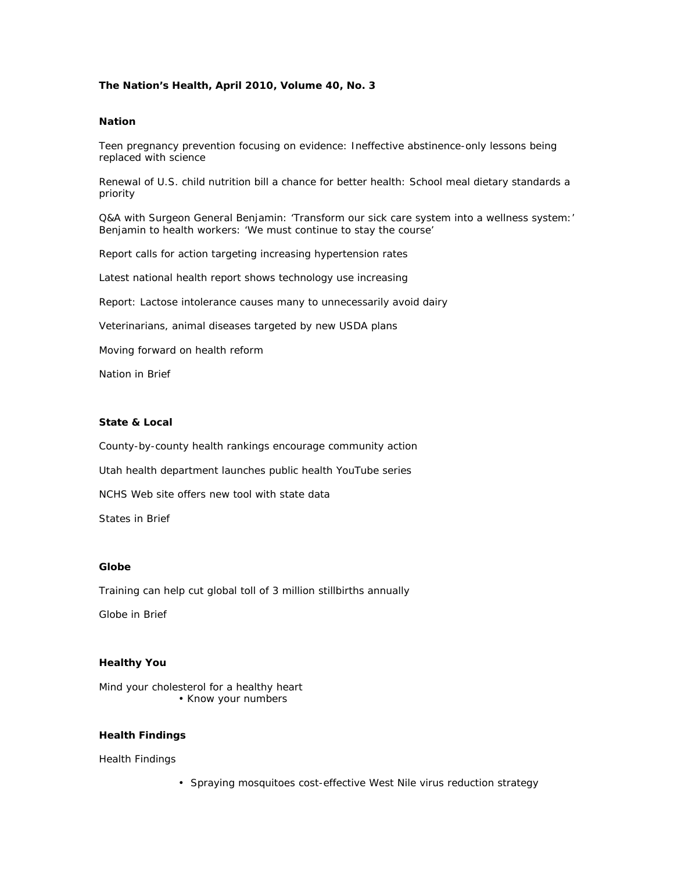# **The Nation's Health, April 2010, Volume 40, No. 3**

#### **Nation**

Teen pregnancy prevention focusing on evidence: Ineffective abstinence-only lessons being replaced with science

Renewal of U.S. child nutrition bill a chance for better health: School meal dietary standards a priority

Q&A with Surgeon General Benjamin: 'Transform our sick care system into a wellness system:' Benjamin to health workers: 'We must continue to stay the course'

Report calls for action targeting increasing hypertension rates

Latest national health report shows technology use increasing

Report: Lactose intolerance causes many to unnecessarily avoid dairy

Veterinarians, animal diseases targeted by new USDA plans

Moving forward on health reform

Nation in Brief

#### **State & Local**

County-by-county health rankings encourage community action

Utah health department launches public health YouTube series

NCHS Web site offers new tool with state data

States in Brief

#### **Globe**

Training can help cut global toll of 3 million stillbirths annually

Globe in Brief

### **Healthy You**

Mind your cholesterol for a healthy heart • Know your numbers

## **Health Findings**

Health Findings

• Spraying mosquitoes cost-effective West Nile virus reduction strategy